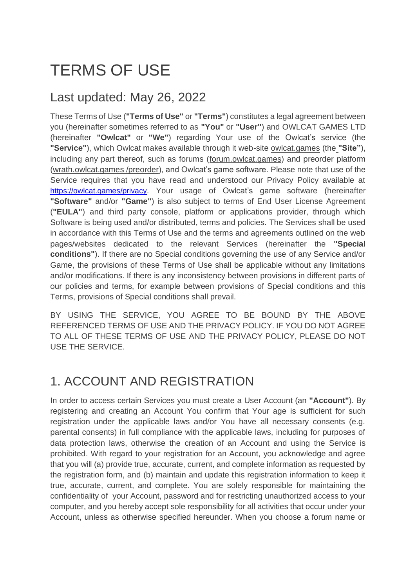# TERMS OF USE

### Last updated: May 26, 2022

These Terms of Use (**"Terms of Use"** or **"Terms"**) constitutes a legal agreement between you (hereinafter sometimes referred to as **"You"** or **"User"**) and OWLCAT GAMES LTD (hereinafter **"Owlcat"** or **"We"**) regarding Your use of the Owlcat's service (the **"Service"**), which Owlcat makes available through it web-site owlcat.games (the **"Site"**), including any part thereof, such as forums (forum.owlcat.games) and preorder platform (wrath.owlcat.games /preorder), and Owlcat's game software. Please note that use of the Service requires that you have read and understood our Privacy Policy available at <https://owlcat.games/privacy>. Your usage of Owlcat's game software (hereinafter **"Software"** and/or **"Game"**) is also subject to terms of End User License Agreement (**"EULA"**) and third party console, platform or applications provider, through which Software is being used and/or distributed, terms and policies. The Services shall be used in accordance with this Terms of Use and the terms and agreements outlined on the web pages/websites dedicated to the relevant Services (hereinafter the **"Special conditions"**). If there are no Special conditions governing the use of any Service and/or Game, the provisions of these Terms of Use shall be applicable without any limitations and/or modifications. If there is any inconsistency between provisions in different parts of our policies and terms, fоr example between provisions of Special conditions and this Terms, provisions of Special conditions shall prevail.

BY USING THE SERVICE, YOU AGREE TO BE BOUND BY THE ABOVE REFERENCED TERMS OF USE AND THE PRIVACY POLICY. IF YOU DO NOT AGREE TO ALL OF THESE TERMS OF USE AND THE PRIVACY POLICY, PLEASE DO NOT USE THE SERVICE.

## 1. ACCOUNT AND REGISTRATION

In order to access certain Services you must create a User Account (an **"Account"**). By registering and creating an Account You confirm that Your age is sufficient for such registration under the applicable laws and/or You have all necessary consents (e.g. parental consents) in full compliance with the applicable laws, including for purposes of data protection laws, otherwise the creation of an Account and using the Service is prohibited. With regard to your registration for an Account, you acknowledge and agree that you will (a) provide true, accurate, current, and complete information as requested by the registration form, and (b) maintain and update this registration information to keep it true, accurate, current, and complete. You are solely responsible for maintaining the confidentiality of your Account, password and for restricting unauthorized access to your computer, and you hereby accept sole responsibility for all activities that occur under your Account, unless as otherwise specified hereunder. When you choose a forum name or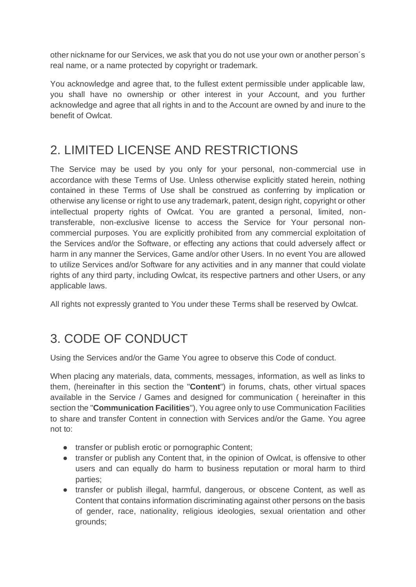other nickname for our Services, we ask that you do not use your own or another person´s real name, or a name protected by copyright or trademark.

You acknowledge and agree that, to the fullest extent permissible under applicable law, you shall have no ownership or other interest in your Account, and you further acknowledge and agree that all rights in and to the Account are owned by and inure to the benefit of Owlcat.

# 2. LIMITED LICENSE AND RESTRICTIONS

The Service may be used by you only for your personal, non-commercial use in accordance with these Terms of Use. Unless otherwise explicitly stated herein, nothing contained in these Terms of Use shall be construed as conferring by implication or otherwise any license or right to use any trademark, patent, design right, copyright or other intellectual property rights of Owlcat. You are granted a personal, limited, nontransferable, non-exclusive license to access the Service for Your personal noncommercial purposes. You are explicitly prohibited from any commercial exploitation of the Services and/or the Software, or effecting any actions that could adversely affect or harm in any manner the Services, Game and/or other Users. In no event You are allowed to utilize Services and/or Software for any activities and in any manner that could violate rights of any third party, including Owlcat, its respective partners and other Users, or any applicable laws.

All rights not expressly granted to You under these Terms shall be reserved by Owlcat.

# 3. CODE OF CONDUCT

Using the Services and/or the Game You agree to observe this Code of conduct.

When placing any materials, data, comments, messages, information, as well as links to them, (hereinafter in this section the "**Content**") in forums, chats, other virtual spaces available in the Service / Games and designed for communication ( hereinafter in this section the "**Communication Facilities**"), You agree only to use Communication Facilities to share and transfer Content in connection with Services and/or the Game. You agree not to:

- transfer or publish erotic or pornographic Content;
- transfer or publish any Content that, in the opinion of Owlcat, is offensive to other users and can equally do harm to business reputation or moral harm to third parties;
- transfer or publish illegal, harmful, dangerous, or obscene Content, as well as Content that contains information discriminating against other persons on the basis of gender, race, nationality, religious ideologies, sexual orientation and other grounds;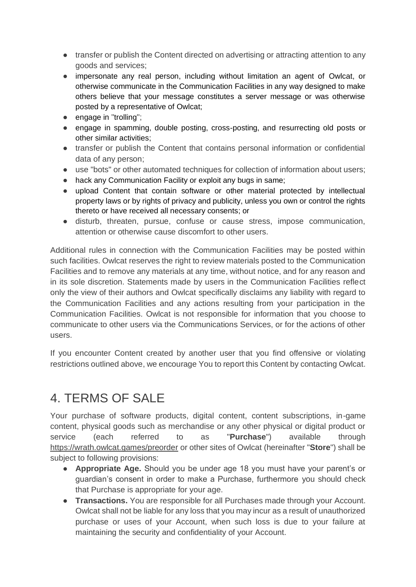- transfer or publish the Content directed on advertising or attracting attention to any goods and services;
- impersonate any real person, including without limitation an agent of Owlcat, or otherwise communicate in the Communication Facilities in any way designed to make others believe that your message constitutes a server message or was otherwise posted by a representative of Owlcat;
- engage in "trolling";
- engage in spamming, double posting, cross-posting, and resurrecting old posts or other similar activities;
- transfer or publish the Content that contains personal information or confidential data of any person;
- use "bots" or other automated techniques for collection of information about users;
- hack any Communication Facility or exploit any bugs in same;
- upload Content that contain software or other material protected by intellectual property laws or by rights of privacy and publicity, unless you own or control the rights thereto or have received all necessary consents; or
- disturb, threaten, pursue, confuse or cause stress, impose communication, attention or otherwise cause discomfort to other users.

Additional rules in connection with the Communication Facilities may be posted within such facilities. Owlcat reserves the right to review materials posted to the Communication Facilities and to remove any materials at any time, without notice, and for any reason and in its sole discretion. Statements made by users in the Communication Facilities reflect only the view of their authors and Owlcat specifically disclaims any liability with regard to the Communication Facilities and any actions resulting from your participation in the Communication Facilities. Owlcat is not responsible for information that you choose to communicate to other users via the Communications Services, or for the actions of other users.

If you encounter Content created by another user that you find offensive or violating restrictions outlined above, we encourage You to report this Content by contacting Owlcat.

### 4. TERMS OF SALE

Your purchase of software products, digital content, content subscriptions, in-game content, physical goods such as merchandise or any other physical or digital product or service (each referred to as "**Purchase**") available through https://wrath.owlcat.games/preorder or other sites of Owlcat (hereinafter "**Store**") shall be subject to following provisions:

- **Appropriate Age.** Should you be under age 18 you must have your parent's or guardian's consent in order to make a Purchase, furthermore you should check that Purchase is appropriate for your age.
- **Transactions.** You are responsible for all Purchases made through your Account. Owlcat shall not be liable for any loss that you may incur as a result of unauthorized purchase or uses of your Account, when such loss is due to your failure at maintaining the security and confidentiality of your Account.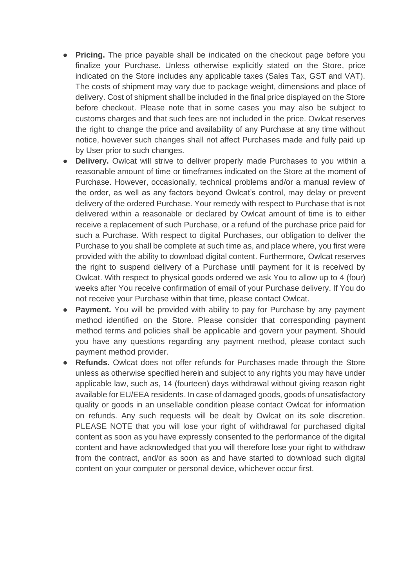- **Pricing.** The price payable shall be indicated on the checkout page before you finalize your Purchase. Unless otherwise explicitly stated on the Store, price indicated on the Store includes any applicable taxes (Sales Tax, GST and VAT). The costs of shipment may vary due to package weight, dimensions and place of delivery. Cost of shipment shall be included in the final price displayed on the Store before checkout. Please note that in some cases you may also be subject to customs charges and that such fees are not included in the price. Owlcat reserves the right to change the price and availability of any Purchase at any time without notice, however such changes shall not affect Purchases made and fully paid up by User prior to such changes.
- **Delivery.** Owlcat will strive to deliver properly made Purchases to you within a reasonable amount of time or timeframes indicated on the Store at the moment of Purchase. However, occasionally, technical problems and/or a manual review of the order, as well as any factors beyond Owlcat's control, may delay or prevent delivery of the ordered Purchase. Your remedy with respect to Purchase that is not delivered within a reasonable or declared by Owlcat amount of time is to either receive a replacement of such Purchase, or a refund of the purchase price paid for such a Purchase. With respect to digital Purchases, our obligation to deliver the Purchase to you shall be complete at such time as, and place where, you first were provided with the ability to download digital content. Furthermore, Owlcat reserves the right to suspend delivery of a Purchase until payment for it is received by Owlcat. With respect to physical goods ordered we ask You to allow up to 4 (four) weeks after You receive confirmation of email of your Purchase delivery. If You do not receive your Purchase within that time, please contact Owlcat.
- **Payment.** You will be provided with ability to pay for Purchase by any payment method identified on the Store. Please consider that corresponding payment method terms and policies shall be applicable and govern your payment. Should you have any questions regarding any payment method, please contact such payment method provider.
- **Refunds.** Owlcat does not offer refunds for Purchases made through the Store unless as otherwise specified herein and subject to any rights you may have under applicable law, such as, 14 (fourteen) days withdrawal without giving reason right available for EU/EEA residents. In case of damaged goods, goods of unsatisfactory quality or goods in an unsellable condition please contact Owlcat for information on refunds. Any such requests will be dealt by Owlcat on its sole discretion. PLEASE NOTE that you will lose your right of withdrawal for purchased digital content as soon as you have expressly consented to the performance of the digital content and have acknowledged that you will therefore lose your right to withdraw from the contract, and/or as soon as and have started to download such digital content on your computer or personal device, whichever occur first.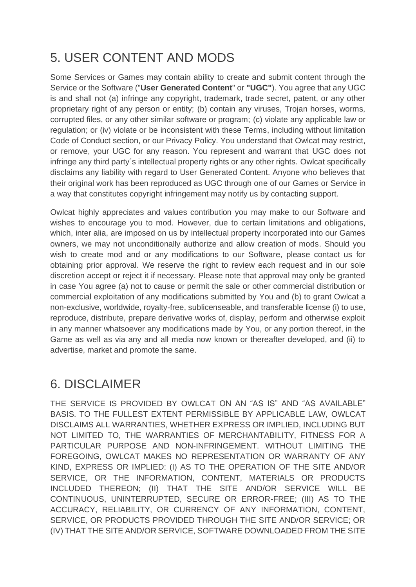# 5. USER CONTENT AND MODS

Some Services or Games may contain ability to create and submit content through the Service or the Software ("**User Generated Content**" or **"UGC"**). You agree that any UGC is and shall not (a) infringe any copyright, trademark, trade secret, patent, or any other proprietary right of any person or entity; (b) contain any viruses, Trojan horses, worms, corrupted files, or any other similar software or program; (с) violate any applicable law or regulation; or (iv) violate or be inconsistent with these Terms, including without limitation Code of Conduct section, or our Privacy Policy. You understand that Owlcat may restrict, or remove, your UGC for any reason. You represent and warrant that UGC does not infringe any third party´s intellectual property rights or any other rights. Owlcat specifically disclaims any liability with regard to User Generated Content. Anyone who believes that their original work has been reproduced as UGC through one of our Games or Service in a way that constitutes copyright infringement may notify us by contacting support.

Owlcat highly appreciates and values contribution you may make to our Software and wishes to encourage you to mod. However, due to certain limitations and obligations, which, inter alia, are imposed on us by intellectual property incorporated into our Games owners, we may not unconditionally authorize and allow creation of mods. Should you wish to create mod and or any modifications to our Software, please contact us for obtaining prior approval. We reserve the right to review each request and in our sole discretion accept or reject it if necessary. Please note that approval may only be granted in case You agree (a) not to cause or permit the sale or other commercial distribution or commercial exploitation of any modifications submitted by You and (b) to grant Owlcat a non-exclusive, worldwide, royalty-free, sublicenseable, and transferable license (i) to use, reproduce, distribute, prepare derivative works of, display, perform and otherwise exploit in any manner whatsoever any modifications made by You, or any portion thereof, in the Game as well as via any and all media now known or thereafter developed, and (ii) to advertise, market and promote the same.

### 6. DISCLAIMER

THE SERVICE IS PROVIDED BY OWLCAT ON AN "AS IS" AND "AS AVAILABLE" BASIS. TO THE FULLEST EXTENT PERMISSIBLE BY APPLICABLE LAW, OWLCAT DISCLAIMS ALL WARRANTIES, WHETHER EXPRESS OR IMPLIED, INCLUDING BUT NOT LIMITED TO, THE WARRANTIES OF MERCHANTABILITY, FITNESS FOR A PARTICULAR PURPOSE AND NON-INFRINGEMENT. WITHOUT LIMITING THE FOREGOING, OWLCAT MAKES NO REPRESENTATION OR WARRANTY OF ANY KIND, EXPRESS OR IMPLIED: (I) AS TO THE OPERATION OF THE SITE AND/OR SERVICE, OR THE INFORMATION, CONTENT, MATERIALS OR PRODUCTS INCLUDED THEREON; (II) THAT THE SITE AND/OR SERVICE WILL BE CONTINUOUS, UNINTERRUPTED, SECURE OR ERROR-FREE; (III) AS TO THE ACCURACY, RELIABILITY, OR CURRENCY OF ANY INFORMATION, CONTENT, SERVICE, OR PRODUCTS PROVIDED THROUGH THE SITE AND/OR SERVICE; OR (IV) THAT THE SITE AND/OR SERVICE, SOFTWARE DOWNLOADED FROM THE SITE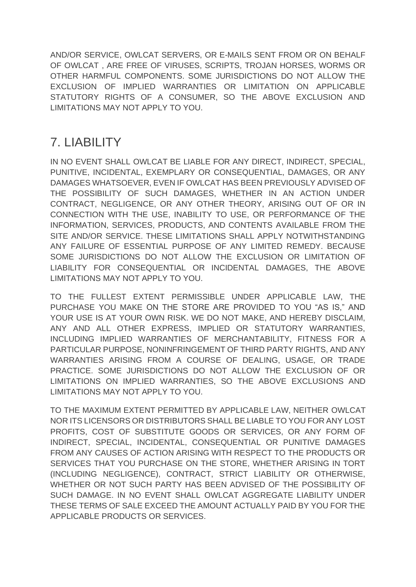AND/OR SERVICE, OWLCAT SERVERS, OR E-MAILS SENT FROM OR ON BEHALF OF OWLCAT , ARE FREE OF VIRUSES, SCRIPTS, TROJAN HORSES, WORMS OR OTHER HARMFUL COMPONENTS. SOME JURISDICTIONS DO NOT ALLOW THE EXCLUSION OF IMPLIED WARRANTIES OR LIMITATION ON APPLICABLE STATUTORY RIGHTS OF A CONSUMER, SO THE ABOVE EXCLUSION AND LIMITATIONS MAY NOT APPLY TO YOU.

## 7. LIABILITY

IN NO EVENT SHALL OWLCAT BE LIABLE FOR ANY DIRECT, INDIRECT, SPECIAL, PUNITIVE, INCIDENTAL, EXEMPLARY OR CONSEQUENTIAL, DAMAGES, OR ANY DAMAGES WHATSOEVER, EVEN IF OWLCAT HAS BEEN PREVIOUSLY ADVISED OF THE POSSIBILITY OF SUCH DAMAGES, WHETHER IN AN ACTION UNDER CONTRACT, NEGLIGENCE, OR ANY OTHER THEORY, ARISING OUT OF OR IN CONNECTION WITH THE USE, INABILITY TO USE, OR PERFORMANCE OF THE INFORMATION, SERVICES, PRODUCTS, AND CONTENTS AVAILABLE FROM THE SITE AND/OR SERVICE. THESE LIMITATIONS SHALL APPLY NOTWITHSTANDING ANY FAILURE OF ESSENTIAL PURPOSE OF ANY LIMITED REMEDY. BECAUSE SOME JURISDICTIONS DO NOT ALLOW THE EXCLUSION OR LIMITATION OF LIABILITY FOR CONSEQUENTIAL OR INCIDENTAL DAMAGES, THE ABOVE LIMITATIONS MAY NOT APPLY TO YOU.

TO THE FULLEST EXTENT PERMISSIBLE UNDER APPLICABLE LAW, THE PURCHASE YOU MAKE ON THE STORE ARE PROVIDED TO YOU "AS IS," AND YOUR USE IS AT YOUR OWN RISK. WE DO NOT MAKE, AND HEREBY DISCLAIM, ANY AND ALL OTHER EXPRESS, IMPLIED OR STATUTORY WARRANTIES, INCLUDING IMPLIED WARRANTIES OF MERCHANTABILITY, FITNESS FOR A PARTICULAR PURPOSE, NONINFRINGEMENT OF THIRD PARTY RIGHTS, AND ANY WARRANTIES ARISING FROM A COURSE OF DEALING, USAGE, OR TRADE PRACTICE. SOME JURISDICTIONS DO NOT ALLOW THE EXCLUSION OF OR LIMITATIONS ON IMPLIED WARRANTIES, SO THE ABOVE EXCLUSIONS AND LIMITATIONS MAY NOT APPLY TO YOU.

TO THE MAXIMUM EXTENT PERMITTED BY APPLICABLE LAW, NEITHER OWLCAT NOR ITS LICENSORS OR DISTRIBUTORS SHALL BE LIABLE TO YOU FOR ANY LOST PROFITS, COST OF SUBSTITUTE GOODS OR SERVICES, OR ANY FORM OF INDIRECT, SPECIAL, INCIDENTAL, CONSEQUENTIAL OR PUNITIVE DAMAGES FROM ANY CAUSES OF ACTION ARISING WITH RESPECT TO THE PRODUCTS OR SERVICES THAT YOU PURCHASE ON THE STORE, WHETHER ARISING IN TORT (INCLUDING NEGLIGENCE), CONTRACT, STRICT LIABILITY OR OTHERWISE, WHETHER OR NOT SUCH PARTY HAS BEEN ADVISED OF THE POSSIBILITY OF SUCH DAMAGE. IN NO EVENT SHALL OWLCAT AGGREGATE LIABILITY UNDER THESE TERMS OF SALE EXCEED THE AMOUNT ACTUALLY PAID BY YOU FOR THE APPLICABLE PRODUCTS OR SERVICES.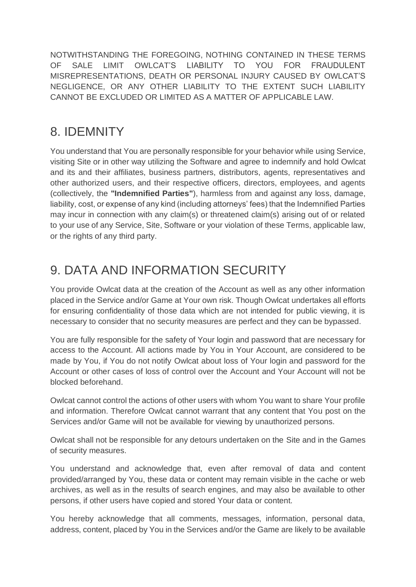NOTWITHSTANDING THE FOREGOING, NOTHING CONTAINED IN THESE TERMS OF SALE LIMIT OWLCAT'S LIABILITY TO YOU FOR FRAUDULENT MISREPRESENTATIONS, DEATH OR PERSONAL INJURY CAUSED BY OWLCAT'S NEGLIGENCE, OR ANY OTHER LIABILITY TO THE EXTENT SUCH LIABILITY CANNOT BE EXCLUDED OR LIMITED AS A MATTER OF APPLICABLE LAW.

### 8. IDEMNITY

You understand that You are personally responsible for your behavior while using Service, visiting Site or in other way utilizing the Software and agree to indemnify and hold Owlcat and its and their affiliates, business partners, distributors, agents, representatives and other authorized users, and their respective officers, directors, employees, and agents (collectively, the **"Indemnified Parties"**), harmless from and against any loss, damage, liability, cost, or expense of any kind (including attorneys' fees) that the Indemnified Parties may incur in connection with any claim(s) or threatened claim(s) arising out of or related to your use of any Service, Site, Software or your violation of these Terms, applicable law, or the rights of any third party.

# 9. DATA AND INFORMATION SECURITY

You provide Owlcat data at the creation of the Account as well as any other information placed in the Service and/or Game at Your own risk. Though Owlcat undertakes all efforts for ensuring confidentiality of those data which are not intended for public viewing, it is necessary to consider that no security measures are perfect and they can be bypassed.

You are fully responsible for the safety of Your login and password that are necessary for access to the Account. All actions made by You in Your Account, are considered to be made by You, if You do not notify Owlcat about loss of Your login and password for the Account or other cases of loss of control over the Account and Your Account will not be blocked beforehand.

Owlcat cannot control the actions of other users with whom You want to share Your profile and information. Therefore Owlcat cannot warrant that any content that You post on the Services and/or Game will not be available for viewing by unauthorized persons.

Owlcat shall not be responsible for any detours undertaken on the Site and in the Games of security measures.

You understand and acknowledge that, even after removal of data and content provided/arranged by You, these data or content may remain visible in the cache or web archives, as well as in the results of search engines, and may also be available to other persons, if other users have copied and stored Your data or content.

You hereby acknowledge that all comments, messages, information, personal data, address, content, placed by You in the Services and/or the Game are likely to be available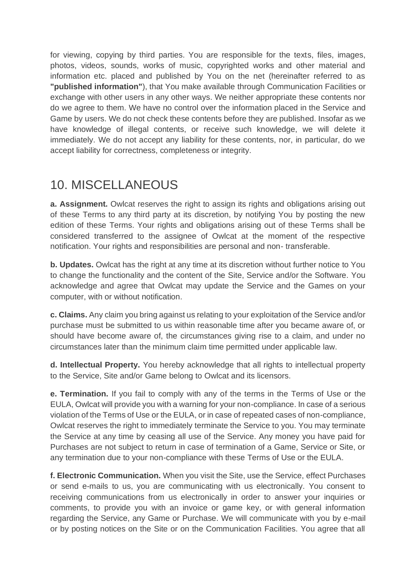for viewing, copying by third parties. You are responsible for the texts, files, images, photos, videos, sounds, works of music, copyrighted works and other material and information etc. placed and published by You on the net (hereinafter referred to as **"published information"**), that You make available through Communication Facilities or exchange with other users in any other ways. We neither appropriate these contents nor do we agree to them. We have no control over the information placed in the Service and Game by users. We do not check these contents before they are published. Insofar as we have knowledge of illegal contents, or receive such knowledge, we will delete it immediately. We do not accept any liability for these contents, nor, in particular, do we accept liability for correctness, completeness or integrity.

### 10. MISCELLANEOUS

**a. Assignment.** Owlcat reserves the right to assign its rights and obligations arising out of these Terms to any third party at its discretion, by notifying You by posting the new edition of these Terms. Your rights and obligations arising out of these Terms shall be considered transferred to the assignee of Owlcat at the moment of the respective notification. Your rights and responsibilities are personal and non- transferable.

**b. Updates.** Owlcat has the right at any time at its discretion without further notice to You to change the functionality and the content of the Site, Service and/or the Software. You acknowledge and agree that Owlcat may update the Service and the Games on your computer, with or without notification.

**c. Claims.** Any claim you bring against us relating to your exploitation of the Service and/or purchase must be submitted to us within reasonable time after you became aware of, or should have become aware of, the circumstances giving rise to a claim, and under no circumstances later than the minimum claim time permitted under applicable law.

**d. Intellectual Property.** You hereby acknowledge that all rights to intellectual property to the Service, Site and/or Game belong to Owlcat and its licensors.

**e. Termination.** If you fail to comply with any of the terms in the Terms of Use or the EULA, Owlcat will provide you with a warning for your non-compliance. In case of a serious violation of the Terms of Use or the EULA, or in case of repeated cases of non-compliance, Owlcat reserves the right to immediately terminate the Service to you. You may terminate the Service at any time by ceasing all use of the Service. Any money you have paid for Purchases are not subject to return in case of termination of a Game, Service or Site, or any termination due to your non-compliance with these Terms of Use or the EULA.

**f. Electronic Communication.** When you visit the Site, use the Service, effect Purchases or send e-mails to us, you are communicating with us electronically. You consent to receiving communications from us electronically in order to answer your inquiries or comments, to provide you with an invoice or game key, or with general information regarding the Service, any Game or Purchase. We will communicate with you by e-mail or by posting notices on the Site or on the Communication Facilities. You agree that all